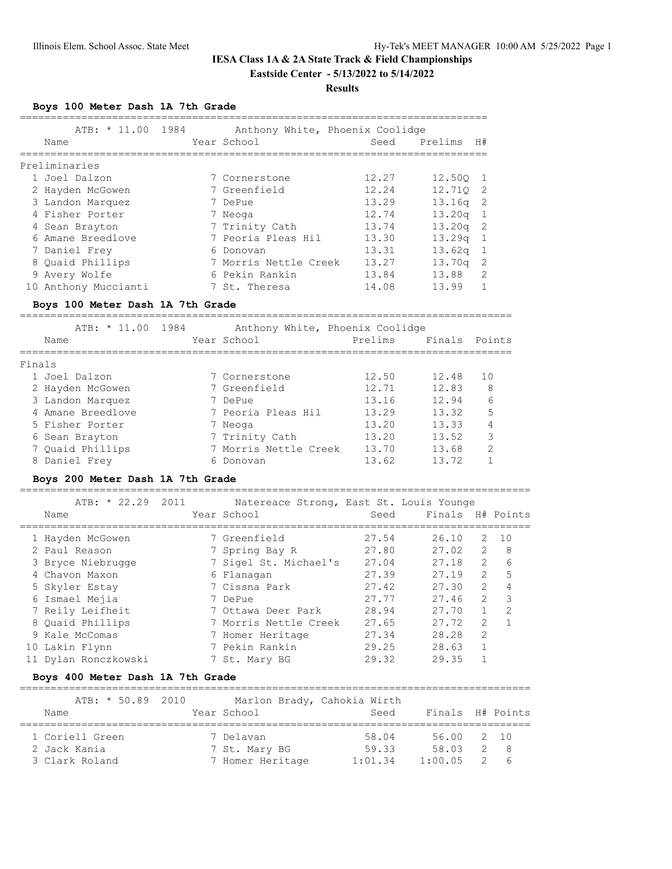#### **Results**

**Boys 100 Meter Dash 1A 7th Grade**

| ATB: * 11.00                                                             | 1984          | Anthony White, Phoenix Coolidge         |                 |                  |                              |              |
|--------------------------------------------------------------------------|---------------|-----------------------------------------|-----------------|------------------|------------------------------|--------------|
| Name                                                                     |               | Year School                             | Seed            | Prelims          | H#                           |              |
| ---------------                                                          | ------------- |                                         |                 | --------------   |                              |              |
| Preliminaries                                                            |               |                                         |                 |                  |                              |              |
| 1 Joel Dalzon                                                            |               | 7 Cornerstone                           | 12.27<br>12.24  | 12.50Q           | 1<br>2                       |              |
| 2 Hayden McGowen<br>3 Landon Marquez                                     |               | 7 Greenfield<br>7 DePue                 | 13.29           | 12.710<br>13.16q | 2                            |              |
| 4 Fisher Porter                                                          |               | 7 Neoga                                 | 12.74           | 13.20q           | 1                            |              |
| 4 Sean Brayton                                                           |               | 7 Trinity Cath                          | 13.74           | 13.20q           | 2                            |              |
| 6 Amane Breedlove                                                        |               | 7 Peoria Pleas Hil                      | 13.30           | 13.29q           | $\mathbf{1}$                 |              |
| 7 Daniel Frey                                                            |               | 6 Donovan                               | 13.31           | 13.62q           | $\mathbf{1}$                 |              |
| 8 Quaid Phillips                                                         |               | 7 Morris Nettle Creek                   | 13.27           | 13.70q           | $\sqrt{2}$                   |              |
| 9 Avery Wolfe                                                            |               | 6 Pekin Rankin                          | 13.84           | 13.88            | 2                            |              |
| 10 Anthony Muccianti                                                     |               | 7 St. Theresa                           | 14.08           | 13.99            | $\mathbf 1$                  |              |
| Boys 100 Meter Dash 1A 7th Grade                                         |               |                                         |                 |                  |                              |              |
| ATB: * 11.00                                                             | 1984          | Anthony White, Phoenix Coolidge         |                 |                  |                              |              |
| Name                                                                     |               | Year School                             | Prelims         | Finals           |                              | Points       |
|                                                                          |               |                                         |                 |                  |                              |              |
| Finals                                                                   |               |                                         |                 |                  |                              |              |
| 1 Joel Dalzon                                                            |               | 7 Cornerstone                           | 12.50           | 12.48            | 10                           |              |
| 2 Hayden McGowen                                                         |               | 7 Greenfield                            | 12.71           | 12.83            |                              | 8            |
| 3 Landon Marquez                                                         |               | 7 DePue                                 | 13.16           | 12.94            |                              | 6            |
| 4 Amane Breedlove                                                        |               | 7 Peoria Pleas Hil                      | 13.29           | 13.32            |                              | 5            |
| 5 Fisher Porter                                                          |               | 7 Neoga                                 | 13.20           | 13.33            |                              | 4            |
| 6 Sean Brayton                                                           |               | 7 Trinity Cath                          | 13.20           | 13.52            |                              | 3            |
| 7 Quaid Phillips                                                         |               | 7 Morris Nettle Creek                   | 13.70           | 13.68            |                              | 2            |
| 8 Daniel Frey                                                            |               | 6 Donovan                               | 13.62           | 13.72            |                              | $\mathbf 1$  |
| Boys 200 Meter Dash 1A 7th Grade<br>-=================================== |               |                                         |                 |                  |                              |              |
| ATB: * 22.29                                                             | 2011          | Natereace Strong, East St. Louis Younge |                 |                  |                              |              |
| Name                                                                     |               | Year School                             | Seed            | Finals           |                              | H# Points    |
| =======================                                                  | ============  |                                         | =============== |                  |                              |              |
| 1 Hayden McGowen                                                         |               | 7 Greenfield                            | 27.54           | 26.10            | 2                            | 10           |
| 2 Paul Reason                                                            |               | 7 Spring Bay R                          | 27.80           | 27.02            | 2                            | 8            |
| 3 Bryce Niebrugge                                                        |               | 7 Sigel St. Michael's 27.04             |                 | 27.18            | $\overline{2}$               | 6            |
| 4 Chavon Maxon                                                           |               | 6 Flanagan                              | 27.39           | 27.19            | $\overline{2}$               | 5            |
| 5 Skyler Estay                                                           |               | 7 Cissna Park                           | 27.42           | 27.30            | $\mathbf{2}$                 | 4            |
| 6 Ismael Mejia                                                           |               | 7 DePue                                 | 27.77           | 27.46            | $\overline{2}$               | 3            |
| 7 Reily Leifheit                                                         |               | 7 Ottawa Deer Park                      | 28.94           | 27.70            | 1                            | 2            |
| 8 Quaid Phillips                                                         |               | 7 Morris Nettle Creek                   | 27.65           | 27.72            | 2                            | $\mathbf{1}$ |
| 9 Kale McComas                                                           |               | 7 Homer Heritage                        | 27.34           | 28.28            | $\overline{2}$               |              |
| 10 Lakin Flynn                                                           |               | 7 Pekin Rankin                          | 29.25           | 28.63            | $\mathbf{1}$<br>$\mathbf{1}$ |              |
| 11 Dylan Ronczkowski                                                     |               | 7 St. Mary BG                           | 29.32           | 29.35            |                              |              |
| Boys 400 Meter Dash 1A 7th Grade                                         |               |                                         |                 |                  |                              |              |
| ATB: * 50.89                                                             | 2010          | Marlon Brady, Cahokia Wirth             |                 |                  |                              |              |
| Name                                                                     |               | Year School                             | Seed            | Finals           |                              | H# Points    |
| 1 Coriell Green                                                          |               | 7 Delavan                               | 58.04           | 56.00            | 2                            | 10           |
| 2 Jack Kania                                                             |               | 7 St. Mary BG                           | 59.33           | 58.03            | 2                            | 8            |
| 3 Clark Roland                                                           |               | 7 Homer Heritage                        | 1:01.34         | 1:00.05          | 2                            | 6            |
|                                                                          |               |                                         |                 |                  |                              |              |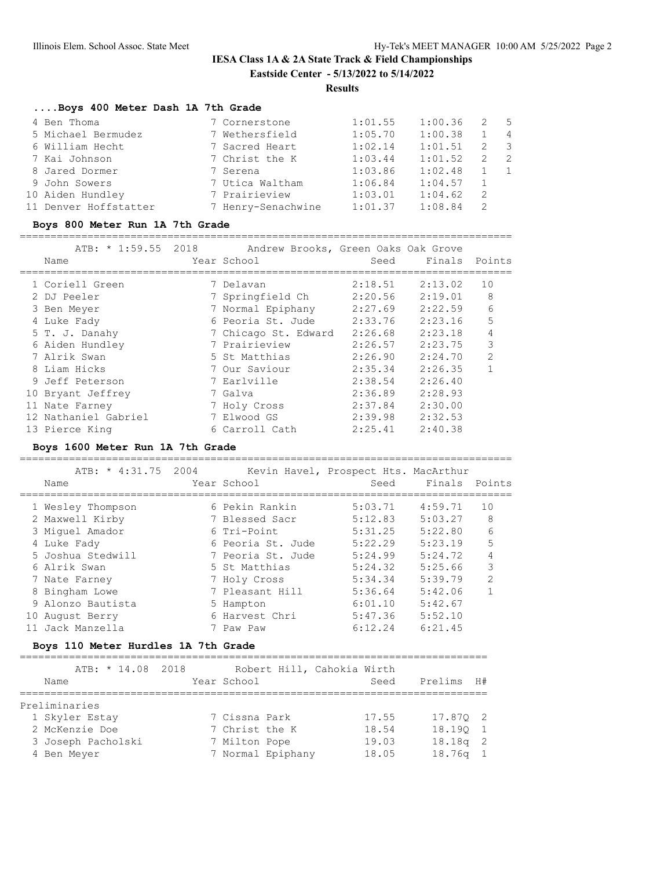## **Results**

## **....Boys 400 Meter Dash 1A 7th Grade**

| 4 Ben Thoma           | 7 Cornerstone      | 1:01.55 | 1:00.36 | -2  | 5                        |
|-----------------------|--------------------|---------|---------|-----|--------------------------|
| 5 Michael Bermudez    | 7 Wethersfield     | 1:05.70 | 1:00.38 |     | $\overline{4}$           |
| 6 William Hecht       | 7 Sacred Heart     | 1:02.14 | 1:01.51 | 2   | $\overline{\phantom{a}}$ |
| 7 Kai Johnson         | 7 Christ the K     | 1:03.44 | 1:01.52 | 2   | $\overline{2}$           |
| 8 Jared Dormer        | 7 Serena           | 1:03.86 | 1:02.48 |     | $\overline{1}$           |
| 9 John Sowers         | 7 Utica Waltham    | 1:06.84 | 1:04.57 |     |                          |
| 10 Aiden Hundley      | 7 Prairieview      | 1:03.01 | 1:04.62 | - 2 |                          |
| 11 Denver Hoffstatter | 7 Henry-Senachwine | 1:01.37 | 1:08.84 | -2  |                          |

#### **Boys 800 Meter Run 1A 7th Grade**

================================================================================ ATB: \* 1:59.55 2018 Andrew Brooks, Green Oaks Oak Grove

| Name |                                                                                                                                                                                                                                       |                     | Seed                                                                                                                                                                       |                                                                           |                                                                                                                                                                                                                |
|------|---------------------------------------------------------------------------------------------------------------------------------------------------------------------------------------------------------------------------------------|---------------------|----------------------------------------------------------------------------------------------------------------------------------------------------------------------------|---------------------------------------------------------------------------|----------------------------------------------------------------------------------------------------------------------------------------------------------------------------------------------------------------|
|      |                                                                                                                                                                                                                                       |                     |                                                                                                                                                                            |                                                                           | 10                                                                                                                                                                                                             |
|      |                                                                                                                                                                                                                                       |                     |                                                                                                                                                                            |                                                                           | 8                                                                                                                                                                                                              |
|      |                                                                                                                                                                                                                                       |                     |                                                                                                                                                                            |                                                                           | 6                                                                                                                                                                                                              |
|      |                                                                                                                                                                                                                                       |                     |                                                                                                                                                                            | 2:23.16                                                                   | 5                                                                                                                                                                                                              |
|      |                                                                                                                                                                                                                                       |                     |                                                                                                                                                                            | 2:23.18                                                                   | 4                                                                                                                                                                                                              |
|      |                                                                                                                                                                                                                                       |                     |                                                                                                                                                                            | 2:23.75                                                                   | 3                                                                                                                                                                                                              |
|      |                                                                                                                                                                                                                                       |                     | 2:26.90                                                                                                                                                                    | 2:24.70                                                                   | $\overline{2}$                                                                                                                                                                                                 |
|      |                                                                                                                                                                                                                                       |                     |                                                                                                                                                                            | 2:26.35                                                                   |                                                                                                                                                                                                                |
|      |                                                                                                                                                                                                                                       |                     |                                                                                                                                                                            | 2:26.40                                                                   |                                                                                                                                                                                                                |
|      |                                                                                                                                                                                                                                       |                     |                                                                                                                                                                            | 2:28.93                                                                   |                                                                                                                                                                                                                |
|      |                                                                                                                                                                                                                                       |                     |                                                                                                                                                                            | 2:30.00                                                                   |                                                                                                                                                                                                                |
|      |                                                                                                                                                                                                                                       |                     |                                                                                                                                                                            | 2:32.53                                                                   |                                                                                                                                                                                                                |
|      |                                                                                                                                                                                                                                       |                     |                                                                                                                                                                            | 2:40.38                                                                   |                                                                                                                                                                                                                |
|      | 1 Coriell Green<br>2 DJ Peeler<br>3 Ben Meyer<br>4 Luke Fady<br>5 T. J. Danahy<br>6 Aiden Hundley<br>7 Alrik Swan<br>8 Liam Hicks<br>9 Jeff Peterson<br>10 Bryant Jeffrey<br>11 Nate Farney<br>12 Nathaniel Gabriel<br>13 Pierce King | ATB: ^ 1:39.33 4UI8 | Year School<br>7 Delavan<br>7 Springfield Ch<br>7 Prairieview<br>5 St Matthias<br>7 Our Saviour<br>7 Earlville<br>7 Galva<br>7 Holy Cross<br>7 Elwood GS<br>6 Carroll Cath | 2:18.51<br>7 Normal Epiphany<br>6 Peoria St. Jude<br>7 Chicago St. Edward | Andrew Brooks, Green Oaks Oak Grove<br>Finals Points<br>2:13.02<br>2:20.56<br>2:19.01<br>2:27.69<br>2:22.59<br>2:33.76<br>2:26.68<br>2:26.57<br>2:35.34<br>2:38.54<br>2:36.89<br>2:37.84<br>2:39.98<br>2:25.41 |

#### **Boys 1600 Meter Run 1A 7th Grade**

================================================================================

|    | ATB: * 4:31.75 2004<br>Name | Year School       | Kevin Havel, Prospect Hts. MacArthur | Seed Finals Points |                |
|----|-----------------------------|-------------------|--------------------------------------|--------------------|----------------|
|    | 1 Wesley Thompson           | 6 Pekin Rankin    | 5:03.71                              | 4:59.71            | 10             |
|    | 2 Maxwell Kirby             | 7 Blessed Sacr    | 5:12.83                              | 5:03.27            | 8              |
|    | 3 Miquel Amador             | 6 Tri-Point       | 5:31.25                              | 5:22.80            | 6              |
|    | 4 Luke Fady                 | 6 Peoria St. Jude | 5:22.29                              | 5:23.19            | 5              |
|    | 5 Joshua Stedwill           | 7 Peoria St. Jude | 5:24.99                              | 5:24.72            | 4              |
|    | 6 Alrik Swan                | 5 St Matthias     | 5:24.32                              | 5:25.66            | 3              |
|    | 7 Nate Farney               | 7 Holy Cross      | 5:34.34                              | 5:39.79            | $\mathfrak{D}$ |
|    | 8 Bingham Lowe              | 7 Pleasant Hill   | 5:36.64                              | 5:42.06            |                |
|    | 9 Alonzo Bautista           | 5 Hampton         | 6:01.10                              | 5:42.67            |                |
| 10 | August Berry                | 6 Harvest Chri    | 5:47.36                              | 5:52.10            |                |
|    | 11 Jack Manzella            | 7 Paw Paw         | 6:12.24                              | 6:21.45            |                |

#### **Boys 110 Meter Hurdles 1A 7th Grade**

| ATB: * 14.08 2018  |                   | Robert Hill, Cahokia Wirth |            |
|--------------------|-------------------|----------------------------|------------|
| Name               | Year School       | Seed                       | Prelims H# |
|                    |                   |                            |            |
| Preliminaries      |                   |                            |            |
| 1 Skyler Estay     | 7 Cissna Park     | 17.55                      | 17.870 2   |
| 2 McKenzie Doe     | 7 Christ the K    | 18.54                      | 18.190 1   |
| 3 Joseph Pacholski | 7 Milton Pope     | 19.03                      | $18.18q$ 2 |
| 4 Ben Meyer        | 7 Normal Epiphany | 18.05                      | $18.76q$ 1 |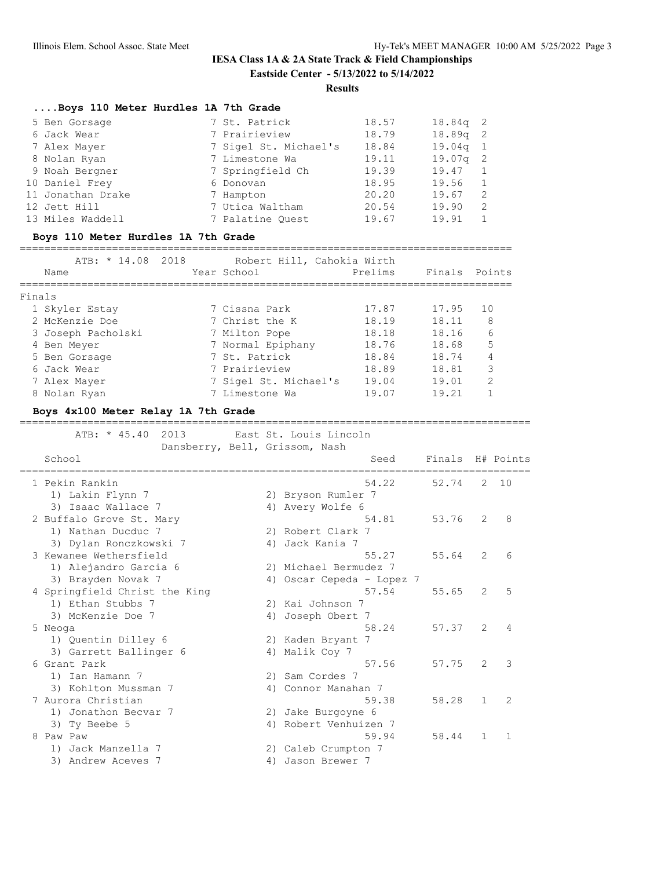## **Results**

## **....Boys 110 Meter Hurdles 1A 7th Grade**

| 5 Ben Gorsage     | 7 St. Patrick         | 18.57 | $18.84q$ 2 |  |
|-------------------|-----------------------|-------|------------|--|
| 6 Jack Wear       | 7 Prairieview         | 18.79 | $18.89q$ 2 |  |
| 7 Alex Mayer      | 7 Sigel St. Michael's | 18.84 | $19.04q$ 1 |  |
| 8 Nolan Ryan      | 7 Limestone Wa        | 19.11 | $19.07q$ 2 |  |
| 9 Noah Bergner    | 7 Springfield Ch      | 19.39 | 19.47      |  |
| 10 Daniel Frey    | 6 Donovan             | 18.95 | 19.56      |  |
| 11 Jonathan Drake | 7 Hampton             | 20.20 | 19.67      |  |
| 12 Jett Hill      | 7 Utica Waltham       | 20.54 | 19.90      |  |
| 13 Miles Waddell  | 7 Palatine Ouest      | 19.67 | 19.91      |  |

#### **Boys 110 Meter Hurdles 1A 7th Grade**

================================================================================

| ATB: * 14.08 2018  | Robert Hill, Cahokia Wirth |                   |        |
|--------------------|----------------------------|-------------------|--------|
| Name               | Year School                | Prelims<br>Finals | Points |
|                    |                            |                   |        |
| Finals             |                            |                   |        |
| 1 Skyler Estay     | 7 Cissna Park              | 17.87<br>17.95    | 10     |
| 2 McKenzie Doe     | 7 Christ the K             | 18.19<br>18.11    | 8      |
| 3 Joseph Pacholski | 7 Milton Pope              | 18.18<br>18.16    | 6      |
| 4 Ben Meyer        | 7 Normal Epiphany          | 18.76<br>18.68    | 5      |
| 5 Ben Gorsage      | 7 St. Patrick              | 18.84<br>18.74    | 4      |
| 6 Jack Wear        | 7 Prairieview              | 18.89<br>18.81    | 3      |
| 7 Alex Mayer       | 7 Sigel St. Michael's      | 19.04<br>19.01    | 2      |
| 8 Nolan Ryan       | 7 Limestone Wa             | 19.07<br>19.21    |        |

## **Boys 4x100 Meter Relay 1A 7th Grade**

#### ===================================================================================

|   | ATB: * 45.40<br>2013<br>Dansberry, Bell, Grissom, Nash |    | East St. Louis Lincoln    |                  |                |              |
|---|--------------------------------------------------------|----|---------------------------|------------------|----------------|--------------|
|   | School                                                 |    | Seed                      | Finals H# Points |                |              |
|   | 1 Pekin Rankin                                         |    | 54.22                     | 52.74            | $\overline{2}$ | 10           |
|   | 1) Lakin Flynn 7                                       |    | 2) Bryson Rumler 7        |                  |                |              |
|   | 3) Isaac Wallace 7                                     |    | 4) Avery Wolfe 6          |                  |                |              |
|   | 2 Buffalo Grove St. Mary                               |    | 54.81                     | 53.76            | $\mathcal{L}$  | 8            |
|   | 1) Nathan Ducduc 7                                     |    | 2) Robert Clark 7         |                  |                |              |
|   | 3) Dylan Ronczkowski 7                                 | 4) | Jack Kania 7              |                  |                |              |
|   | 3 Kewanee Wethersfield                                 |    | 55.27                     | 55.64            | $\overline{2}$ | 6            |
|   | 1) Alejandro Garcia 6                                  |    | 2) Michael Bermudez 7     |                  |                |              |
|   | 3) Brayden Novak 7                                     |    | 4) Oscar Cepeda - Lopez 7 |                  |                |              |
|   | 4 Springfield Christ the King                          |    | 57.54                     | 55.65            | $\overline{2}$ | 5            |
|   | 1) Ethan Stubbs 7                                      |    | 2) Kai Johnson 7          |                  |                |              |
|   | 3) McKenzie Doe 7                                      | 4) | Joseph Obert 7            |                  |                |              |
|   | 5 Neoga                                                |    | 58.24                     | 57.37            | 2              | 4            |
|   | 1) Quentin Dilley 6                                    |    | 2) Kaden Bryant 7         |                  |                |              |
|   | 3) Garrett Ballinger 6                                 |    | 4) Malik Coy 7            |                  |                |              |
|   | 6 Grant Park                                           |    | 57.56                     | 57.75            | $\overline{2}$ | 3            |
|   | 1) Ian Hamann 7                                        |    | 2) Sam Cordes 7           |                  |                |              |
|   | 3) Kohlton Mussman 7                                   |    | 4) Connor Manahan 7       |                  |                |              |
|   | 7 Aurora Christian                                     |    | 59.38                     | 58.28            | $\mathbf{1}$   | 2            |
|   | 1) Jonathon Becvar 7                                   |    | 2) Jake Burgoyne 6        |                  |                |              |
|   | 3) Ty Beebe 5                                          |    | 4) Robert Venhuizen 7     |                  |                |              |
| 8 | Paw Paw                                                |    | 59.94                     | 58.44            | $\mathbf{1}$   | $\mathbf{1}$ |
|   | 1) Jack Manzella 7                                     |    | 2) Caleb Crumpton 7       |                  |                |              |
|   | 3) Andrew Aceves 7                                     | 4) | Jason Brewer 7            |                  |                |              |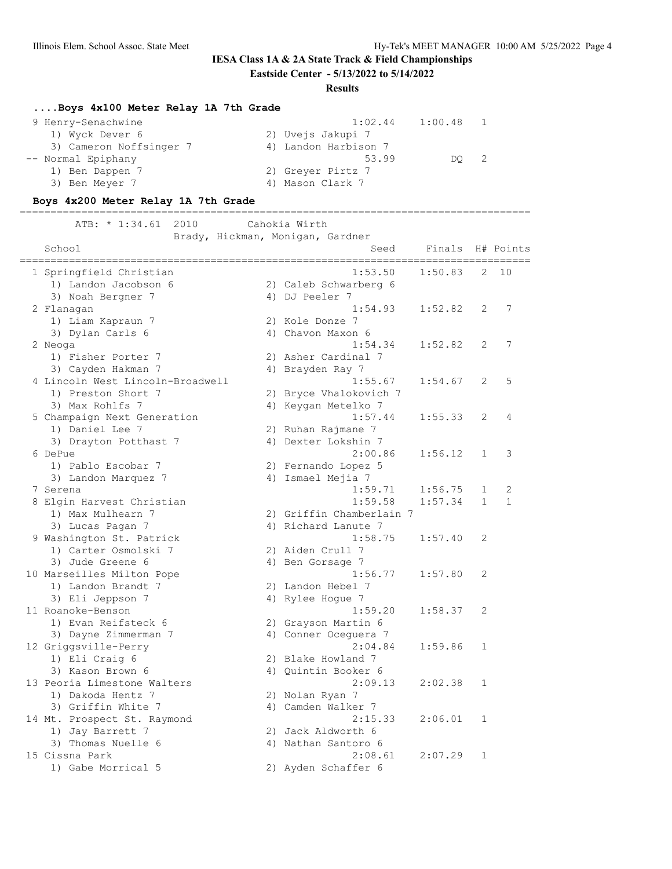## **IESA Class 1A & 2A State Track & Field Championships**

**Eastside Center - 5/13/2022 to 5/14/2022**

#### **Results**

## **....Boys 4x100 Meter Relay 1A 7th Grade**

| 9 Henry-Senachwine      | 1:02.44              | 1:00.48 |  |
|-------------------------|----------------------|---------|--|
| 1) Wyck Dever 6         | 2) Uvejs Jakupi 7    |         |  |
| 3) Cameron Noffsinger 7 | 4) Landon Harbison 7 |         |  |
| -- Normal Epiphany      | 53.99                | DO      |  |
| 1) Ben Dappen 7         | 2) Greyer Pirtz 7    |         |  |
| 3) Ben Meyer 7          | 4) Mason Clark 7     |         |  |

## **Boys 4x200 Meter Relay 1A 7th Grade**

===================================================================================

 ATB: \* 1:34.61 2010 Cahokia Wirth Brady, Hickman, Monigan, Gardner

| School                           | Seed                     | Finals  |              | H# Points    |
|----------------------------------|--------------------------|---------|--------------|--------------|
| 1 Springfield Christian          | 1:53.50                  | 1:50.83 | 2            | 10           |
| 1) Landon Jacobson 6             | 2) Caleb Schwarberg 6    |         |              |              |
| 3) Noah Bergner 7                | 4) DJ Peeler 7           |         |              |              |
| 2 Flanagan                       | 1:54.93                  | 1:52.82 | 2            | 7            |
| 1) Liam Kapraun 7                | 2) Kole Donze 7          |         |              |              |
| 3) Dylan Carls 6                 | 4) Chavon Maxon 6        |         |              |              |
| 2 Neoga                          | 1:54.34                  | 1:52.82 | 2            | 7            |
| 1) Fisher Porter 7               | 2) Asher Cardinal 7      |         |              |              |
| 3) Cayden Hakman 7               | 4) Brayden Ray 7         |         |              |              |
| 4 Lincoln West Lincoln-Broadwell | 1:55.67                  | 1:54.67 | 2            | 5            |
| 1) Preston Short 7               | 2) Bryce Vhalokovich 7   |         |              |              |
| 3) Max Rohlfs 7                  | 4) Keygan Metelko 7      |         |              |              |
| 5 Champaign Next Generation      | 1:57.44                  | 1:55.33 | 2            | 4            |
| 1) Daniel Lee 7                  | 2) Ruhan Rajmane 7       |         |              |              |
| 3) Drayton Potthast 7            | 4) Dexter Lokshin 7      |         |              |              |
| 6 DePue                          | 2:00.86                  | 1:56.12 | $\mathbf{1}$ | 3            |
| 1) Pablo Escobar 7               | 2) Fernando Lopez 5      |         |              |              |
| 3) Landon Marquez 7              | 4) Ismael Mejia 7        |         |              |              |
| 7 Serena                         | 1:59.71                  | 1:56.75 | 1            | 2            |
| 8 Elgin Harvest Christian        | 1:59.58                  | 1:57.34 | $\mathbf{1}$ | $\mathbf{1}$ |
| 1) Max Mulhearn 7                | 2) Griffin Chamberlain 7 |         |              |              |
| 3) Lucas Pagan 7                 | 4) Richard Lanute 7      |         |              |              |
| 9 Washington St. Patrick         | 1:58.75                  | 1:57.40 | 2            |              |
| 1) Carter Osmolski 7             | 2) Aiden Crull 7         |         |              |              |
| 3) Jude Greene 6                 | 4) Ben Gorsage 7         |         |              |              |
| 10 Marseilles Milton Pope        | 1:56.77                  | 1:57.80 | 2            |              |
| 1) Landon Brandt 7               | 2) Landon Hebel 7        |         |              |              |
| 3) Eli Jeppson 7                 | 4) Rylee Hogue 7         |         |              |              |
| 11 Roanoke-Benson                | 1:59.20                  | 1:58.37 | 2            |              |
| 1) Evan Reifsteck 6              | 2) Grayson Martin 6      |         |              |              |
| 3) Dayne Zimmerman 7             | 4) Conner Oceguera 7     |         |              |              |
| 12 Griggsville-Perry             | 2:04.84                  | 1:59.86 | $\mathbf{1}$ |              |
| 1) Eli Craig 6                   | 2) Blake Howland 7       |         |              |              |
| 3) Kason Brown 6                 | 4) Quintin Booker 6      |         |              |              |
| 13 Peoria Limestone Walters      | 2:09.13                  | 2:02.38 | $\mathbf{1}$ |              |
| 1) Dakoda Hentz 7                | 2) Nolan Ryan 7          |         |              |              |
| 3) Griffin White 7               | 4) Camden Walker 7       |         |              |              |
| 14 Mt. Prospect St. Raymond      | 2:15.33                  | 2:06.01 | 1            |              |
| 1) Jay Barrett 7                 | 2) Jack Aldworth 6       |         |              |              |
| 3) Thomas Nuelle 6               | 4) Nathan Santoro 6      |         |              |              |
| 15 Cissna Park                   | 2:08.61                  | 2:07.29 | 1            |              |
| 1) Gabe Morrical 5               | 2) Ayden Schaffer 6      |         |              |              |
|                                  |                          |         |              |              |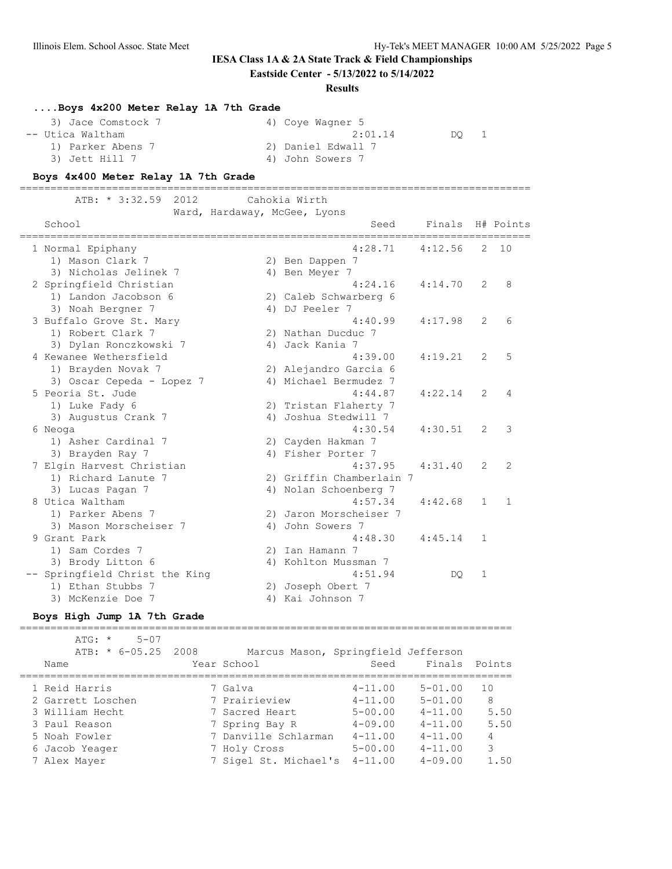## **IESA Class 1A & 2A State Track & Field Championships**

## **Eastside Center - 5/13/2022 to 5/14/2022**

#### **Results**

## **....Boys 4x200 Meter Relay 1A 7th Grade**

| 3) Jace Comstock 7 | 4) Coye Wagner 5   |
|--------------------|--------------------|
| -- Utica Waltham   | 2:01.14<br>DO 1    |
| 1) Parker Abens 7  | 2) Daniel Edwall 7 |
| 3) Jett Hill 7     | 4) John Sowers 7   |

# **Boys 4x400 Meter Relay 1A 7th Grade**

|  | ATB: * 3:32.59 2012 |                              | Cahokia Wirth |  |
|--|---------------------|------------------------------|---------------|--|
|  |                     | Ward, Hardaway, McGee, Lyons |               |  |

| School                         |    | Seed                     | Finals<br>========= |                | H# Points |
|--------------------------------|----|--------------------------|---------------------|----------------|-----------|
| 1 Normal Epiphany              |    | 4:28.71                  | 4:12.56             | $\mathbf{2}$   | 10        |
| 1) Mason Clark 7               |    | 2) Ben Dappen 7          |                     |                |           |
| 3) Nicholas Jelinek 7          |    | 4) Ben Meyer 7           |                     |                |           |
| 2 Springfield Christian        |    | 4:24.16                  | 4:14.70             | $\overline{2}$ | 8         |
| 1) Landon Jacobson 6           |    | 2) Caleb Schwarberg 6    |                     |                |           |
| 3) Noah Bergner 7              |    | 4) DJ Peeler 7           |                     |                |           |
| 3 Buffalo Grove St. Mary       |    | 4:40.99                  | 4:17.98             | $\overline{2}$ | 6         |
| 1) Robert Clark 7              |    | 2) Nathan Ducduc 7       |                     |                |           |
| 3) Dylan Ronczkowski 7         |    | 4) Jack Kania 7          |                     |                |           |
| 4 Kewanee Wethersfield         |    | 4:39.00                  | 4:19.21             | $\overline{2}$ | 5         |
| 1) Brayden Novak 7             |    | 2) Alejandro Garcia 6    |                     |                |           |
| 3) Oscar Cepeda - Lopez 7      |    | 4) Michael Bermudez 7    |                     |                |           |
| 5 Peoria St. Jude              |    | 4:44.87                  | 4:22.14             | $\overline{2}$ | 4         |
| 1) Luke Fady 6                 |    | 2) Tristan Flaherty 7    |                     |                |           |
| 3) Augustus Crank 7            |    | 4) Joshua Stedwill 7     |                     |                |           |
| 6 Neoga                        |    | 4:30.54                  | 4:30.51             | 2              | 3         |
| 1) Asher Cardinal 7            |    | 2) Cayden Hakman 7       |                     |                |           |
| 3) Brayden Ray 7               |    | 4) Fisher Porter 7       |                     |                |           |
| 7 Elgin Harvest Christian      |    | 4:37.95                  | 4:31.40             | $\overline{2}$ | 2         |
| 1) Richard Lanute 7            |    | 2) Griffin Chamberlain 7 |                     |                |           |
| 3) Lucas Pagan 7               |    | 4) Nolan Schoenberg 7    |                     |                |           |
| 8 Utica Waltham                |    | 4:57.34                  | 4:42.68             | $\mathbf{1}$   | 1         |
| 1) Parker Abens 7              | 2) | Jaron Morscheiser 7      |                     |                |           |
| 3) Mason Morscheiser 7         |    | 4) John Sowers 7         |                     |                |           |
| 9 Grant Park                   |    | 4:48.30                  | 4:45.14             | $\mathbf{1}$   |           |
| 1) Sam Cordes 7                |    | 2) Ian Hamann 7          |                     |                |           |
| 3) Brody Litton 6              |    | 4) Kohlton Mussman 7     |                     |                |           |
| -- Springfield Christ the King |    | 4:51.94                  | DO.                 | 1              |           |
| 1) Ethan Stubbs 7              | 2) | Joseph Obert 7           |                     |                |           |
| 3) McKenzie Doe 7              |    | 4) Kai Johnson 7         |                     |                |           |

#### **Boys High Jump 1A 7th Grade**

================================================================================

| $5 - 07$<br>$ATG: *$<br>ATB: * 6-05.25 2008<br>Name | Year School           | Marcus Mason, Springfield Jefferson<br>Finals Points<br>Seed |      |
|-----------------------------------------------------|-----------------------|--------------------------------------------------------------|------|
| 1 Reid Harris                                       | 7 Galva               | $5 - 01.00$<br>$4 - 11.00$                                   | 10   |
| 2 Garrett Loschen                                   | 7 Prairieview         | $5 - 01.00$<br>$4 - 11.00$                                   | 8    |
| 3 William Hecht                                     | 7 Sacred Heart        | $5 - 00.00$<br>$4 - 11.00$                                   | 5.50 |
| 3 Paul Reason                                       | 7 Spring Bay R        | $4 - 09.00$<br>$4 - 11.00$                                   | 5.50 |
| 5 Noah Fowler                                       | 7 Danville Schlarman  | $4 - 11.00$<br>$4 - 11.00$                                   | 4    |
| 6 Jacob Yeager                                      | 7 Holy Cross          | $5 - 00.00$<br>$4 - 11.00$                                   | 3    |
| 7 Alex Mayer                                        | 7 Sigel St. Michael's | $4 - 11.00$<br>$4 - 09.00$                                   | 1.50 |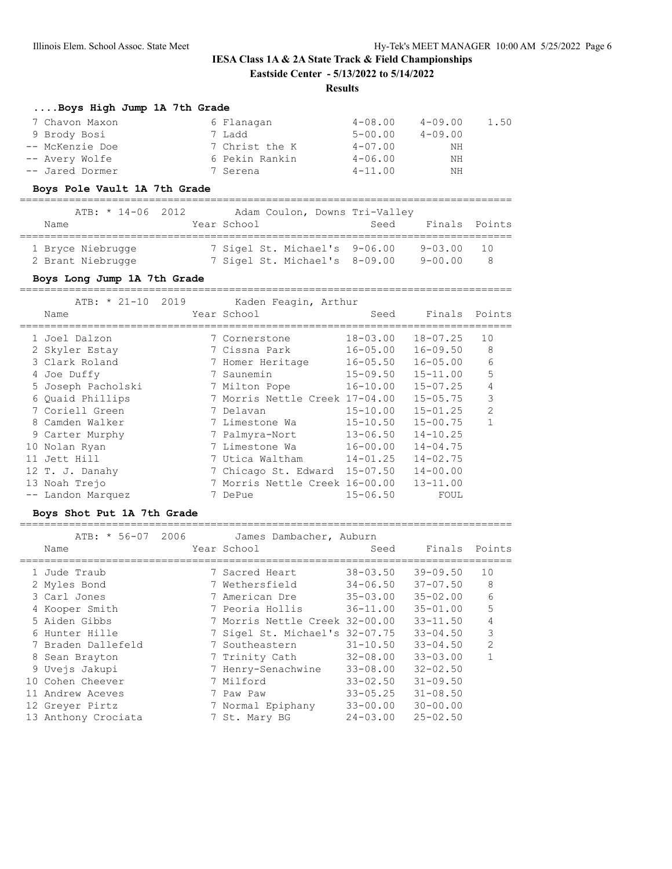#### **Results**

#### **....Boys High Jump 1A 7th Grade**

| 7 Chavon Maxon  | 6 Flanagan     | $4 - 08.00$ | $4 - 09.00$ | 1.50 |
|-----------------|----------------|-------------|-------------|------|
| 9 Brody Bosi    | 7 Ladd         | $5 - 00.00$ | $4 - 09.00$ |      |
| -- McKenzie Doe | 7 Christ the K | $4 - 07.00$ | ΝH          |      |
| -- Avery Wolfe  | 6 Pekin Rankin | $4 - 06.00$ | ΝH          |      |
| -- Jared Dormer | 7 Serena       | $4 - 11.00$ | NΗ          |      |

#### **Boys Pole Vault 1A 7th Grade**

|                   | ATB: * 14-06 2012 |             |                               | Adam Coulon, Downs Tri-Valley |                |     |
|-------------------|-------------------|-------------|-------------------------------|-------------------------------|----------------|-----|
| Name              |                   | Year School |                               | Seed                          | Finals Points  |     |
| 1 Bryce Niebrugge |                   |             | 7 Sigel St. Michael's 9-06.00 |                               | $9 - 03.00$ 10 |     |
| 2 Brant Niebrugge |                   |             | 7 Sigel St. Michael's 8-09.00 |                               | 9-00.00        | - 8 |

#### **Boys Long Jump 1A 7th Grade**

================================================================================ ATB: \* 21-10 2019 Kaden Feagin, Arthur Name Year School Seed Finals Points ================================================================================ 1 Joel Dalzon 7 Cornerstone 18-03.00 18-07.25 10 2 Skyler Estay 7 Cissna Park 16-05.00 16-09.50 8 3 Clark Roland 7 Homer Heritage 16-05.50 16-05.00 6 4 Joe Duffy 7 Saunemin 15-09.50 15-11.00 5 5 Joseph Pacholski 7 Milton Pope 16-10.00 15-07.25 4 6 Quaid Phillips 7 Morris Nettle Creek 17-04.00 15-05.75 3 7 Coriell Green 7 Delavan 15-10.00 15-01.25 2 8 Camden Walker 7 Limestone Wa 15-10.50 15-00.75 1 9 Carter Murphy 7 Palmyra-Nort 13-06.50 14-10.25 10 Nolan Ryan 7 Limestone Wa 16-00.00 14-04.75 11 Jett Hill 7 Utica Waltham 14-01.25 14-02.75 12 T. J. Danahy 7 Chicago St. Edward 15-07.50 14-00.00 13 Noah Trejo 7 Morris Nettle Creek 16-00.00 13-11.00 -- Landon Marquez 7 DePue 15-06.50 FOUL

#### **Boys Shot Put 1A 7th Grade**

================================================================================

| ATB: * 56-07 2006   | James Dambacher, Auburn        |              |               |                |
|---------------------|--------------------------------|--------------|---------------|----------------|
| Name                | Year School                    | Seed         | Finals Points |                |
| 1 Jude Traub        | 7 Sacred Heart                 | $38 - 03.50$ | $39 - 09.50$  | 10             |
| 2 Myles Bond        | 7 Wethersfield                 | $34 - 06.50$ | $37 - 07.50$  | 8              |
| 3 Carl Jones        | 7 American Dre                 | $35 - 03.00$ | $35 - 02.00$  | 6              |
| 4 Kooper Smith      | 7 Peoria Hollis                | $36 - 11.00$ | $35 - 01.00$  | 5              |
| 5 Aiden Gibbs       | 7 Morris Nettle Creek 32-00.00 |              | $33 - 11.50$  | 4              |
| 6 Hunter Hille      | 7 Sigel St. Michael's 32-07.75 |              | $33 - 04.50$  | 3              |
| 7 Braden Dallefeld  | 7 Southeastern                 | $31 - 10.50$ | $33 - 04.50$  | $\overline{2}$ |
| 8 Sean Brayton      | 7 Trinity Cath                 | $32 - 08.00$ | $33 - 03.00$  |                |
| 9 Uvejs Jakupi      | 7 Henry-Senachwine             | $33 - 08.00$ | $32 - 02.50$  |                |
| 10 Cohen Cheever    | 7 Milford                      | $33 - 02.50$ | $31 - 09.50$  |                |
| 11 Andrew Aceves    | 7 Paw Paw                      | $33 - 05.25$ | $31 - 08.50$  |                |
| 12 Greyer Pirtz     | 7 Normal Epiphany              | $33 - 00.00$ | $30 - 00.00$  |                |
| 13 Anthony Crociata | 7 St. Mary BG                  | $24 - 03.00$ | $25 - 02.50$  |                |